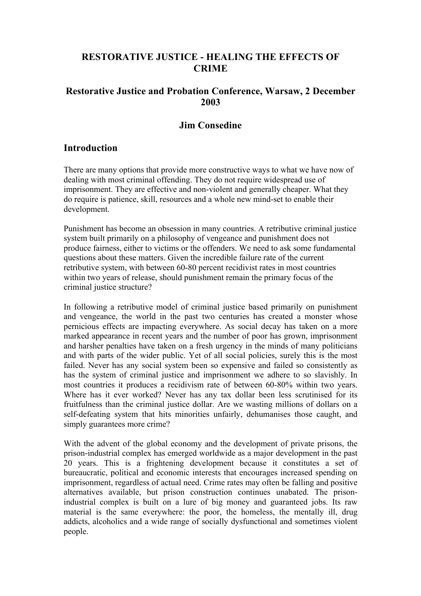# **RESTORATIVE JUSTICE - HEALING THE EFFECTS OF CRIME**

# **Restorative Justice and Probation Conference, Warsaw, 2 December 2003**

# **Jim Consedine**

# **Introduction**

There are many options that provide more constructive ways to what we have now of dealing with most criminal offending. They do not require widespread use of imprisonment. They are effective and non-violent and generally cheaper. What they do require is patience, skill, resources and a whole new mind-set to enable their development.

Punishment has become an obsession in many countries. A retributive criminal justice system built primarily on a philosophy of vengeance and punishment does not produce fairness, either to victims or the offenders. We need to ask some fundamental questions about these matters. Given the incredible failure rate of the current retributive system, with between 60-80 percent recidivist rates in most countries within two years of release, should punishment remain the primary focus of the criminal justice structure?

In following a retributive model of criminal justice based primarily on punishment and vengeance, the world in the past two centuries has created a monster whose pernicious effects are impacting everywhere. As social decay has taken on a more marked appearance in recent years and the number of poor has grown, imprisonment and harsher penalties have taken on a fresh urgency in the minds of many politicians and with parts of the wider public. Yet of all social policies, surely this is the most failed. Never has any social system been so expensive and failed so consistently as has the system of criminal justice and imprisonment we adhere to so slavishly. In most countries it produces a recidivism rate of between 60-80% within two years. Where has it ever worked? Never has any tax dollar been less scrutinised for its fruitfulness than the criminal justice dollar. Are we wasting millions of dollars on a self-defeating system that hits minorities unfairly, dehumanises those caught, and simply guarantees more crime?

With the advent of the global economy and the development of private prisons, the prison-industrial complex has emerged worldwide as a major development in the past 20 years. This is a frightening development because it constitutes a set of bureaucratic, political and economic interests that encourages increased spending on imprisonment, regardless of actual need. Crime rates may often be falling and positive alternatives available, but prison construction continues unabated. The prisonindustrial complex is built on a lure of big money and guaranteed jobs. Its raw material is the same everywhere: the poor, the homeless, the mentally ill, drug addicts, alcoholics and a wide range of socially dysfunctional and sometimes violent people.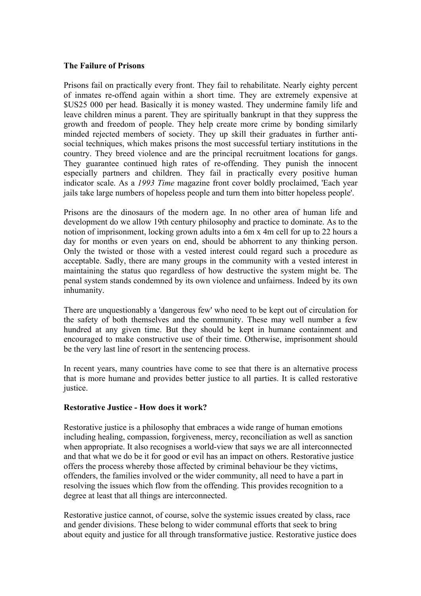#### **The Failure of Prisons**

Prisons fail on practically every front. They fail to rehabilitate. Nearly eighty percent of inmates re-offend again within a short time. They are extremely expensive at \$US25 000 per head. Basically it is money wasted. They undermine family life and leave children minus a parent. They are spiritually bankrupt in that they suppress the growth and freedom of people. They help create more crime by bonding similarly minded rejected members of society. They up skill their graduates in further antisocial techniques, which makes prisons the most successful tertiary institutions in the country. They breed violence and are the principal recruitment locations for gangs. They guarantee continued high rates of re-offending. They punish the innocent especially partners and children. They fail in practically every positive human indicator scale. As a *1993 Time* magazine front cover boldly proclaimed, 'Each year jails take large numbers of hopeless people and turn them into bitter hopeless people'.

Prisons are the dinosaurs of the modern age. In no other area of human life and development do we allow 19th century philosophy and practice to dominate. As to the notion of imprisonment, locking grown adults into a 6m x 4m cell for up to 22 hours a day for months or even years on end, should be abhorrent to any thinking person. Only the twisted or those with a vested interest could regard such a procedure as acceptable. Sadly, there are many groups in the community with a vested interest in maintaining the status quo regardless of how destructive the system might be. The penal system stands condemned by its own violence and unfairness. Indeed by its own inhumanity.

There are unquestionably a 'dangerous few' who need to be kept out of circulation for the safety of both themselves and the community. These may well number a few hundred at any given time. But they should be kept in humane containment and encouraged to make constructive use of their time. Otherwise, imprisonment should be the very last line of resort in the sentencing process.

In recent years, many countries have come to see that there is an alternative process that is more humane and provides better justice to all parties. It is called restorative justice.

## **Restorative Justice - How does it work?**

Restorative justice is a philosophy that embraces a wide range of human emotions including healing, compassion, forgiveness, mercy, reconciliation as well as sanction when appropriate. It also recognises a world-view that says we are all interconnected and that what we do be it for good or evil has an impact on others. Restorative justice offers the process whereby those affected by criminal behaviour be they victims, offenders, the families involved or the wider community, all need to have a part in resolving the issues which flow from the offending. This provides recognition to a degree at least that all things are interconnected.

Restorative justice cannot, of course, solve the systemic issues created by class, race and gender divisions. These belong to wider communal efforts that seek to bring about equity and justice for all through transformative justice. Restorative justice does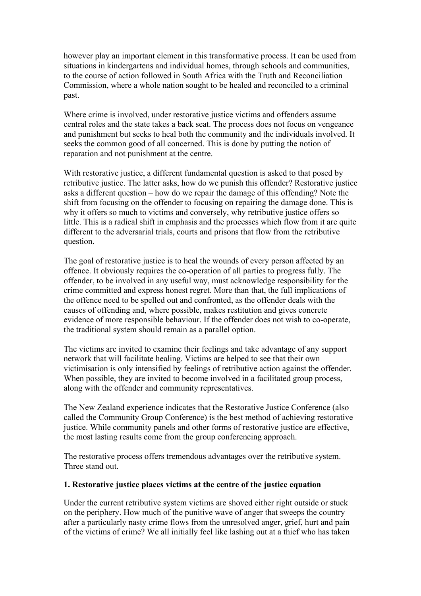however play an important element in this transformative process. It can be used from situations in kindergartens and individual homes, through schools and communities, to the course of action followed in South Africa with the Truth and Reconciliation Commission, where a whole nation sought to be healed and reconciled to a criminal past.

Where crime is involved, under restorative justice victims and offenders assume central roles and the state takes a back seat. The process does not focus on vengeance and punishment but seeks to heal both the community and the individuals involved. It seeks the common good of all concerned. This is done by putting the notion of reparation and not punishment at the centre.

With restorative justice, a different fundamental question is asked to that posed by retributive justice. The latter asks, how do we punish this offender? Restorative justice asks a different question – how do we repair the damage of this offending? Note the shift from focusing on the offender to focusing on repairing the damage done. This is why it offers so much to victims and conversely, why retributive justice offers so little. This is a radical shift in emphasis and the processes which flow from it are quite different to the adversarial trials, courts and prisons that flow from the retributive question.

The goal of restorative justice is to heal the wounds of every person affected by an offence. It obviously requires the co-operation of all parties to progress fully. The offender, to be involved in any useful way, must acknowledge responsibility for the crime committed and express honest regret. More than that, the full implications of the offence need to be spelled out and confronted, as the offender deals with the causes of offending and, where possible, makes restitution and gives concrete evidence of more responsible behaviour. If the offender does not wish to co-operate, the traditional system should remain as a parallel option.

The victims are invited to examine their feelings and take advantage of any support network that will facilitate healing. Victims are helped to see that their own victimisation is only intensified by feelings of retributive action against the offender. When possible, they are invited to become involved in a facilitated group process, along with the offender and community representatives.

The New Zealand experience indicates that the Restorative Justice Conference (also called the Community Group Conference) is the best method of achieving restorative justice. While community panels and other forms of restorative justice are effective, the most lasting results come from the group conferencing approach.

The restorative process offers tremendous advantages over the retributive system. Three stand out.

#### **1. Restorative justice places victims at the centre of the justice equation**

Under the current retributive system victims are shoved either right outside or stuck on the periphery. How much of the punitive wave of anger that sweeps the country after a particularly nasty crime flows from the unresolved anger, grief, hurt and pain of the victims of crime? We all initially feel like lashing out at a thief who has taken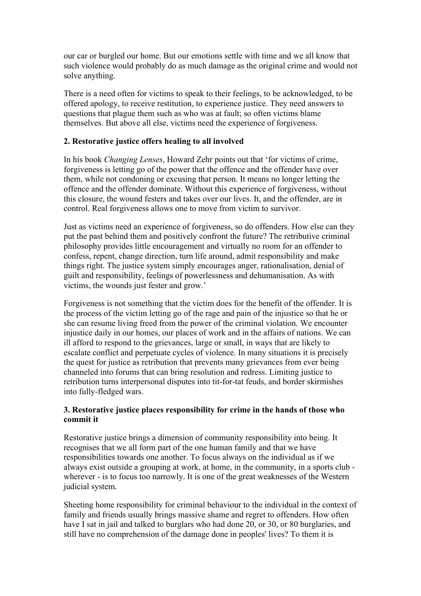our car or burgled our home. But our emotions settle with time and we all know that such violence would probably do as much damage as the original crime and would not solve anything.

There is a need often for victims to speak to their feelings, to be acknowledged, to be offered apology, to receive restitution, to experience justice. They need answers to questions that plague them such as who was at fault; so often victims blame themselves. But above all else, victims need the experience of forgiveness.

## **2. Restorative justice offers healing to all involved**

In his book *Changing Lenses*, Howard Zehr points out that 'for victims of crime, forgiveness is letting go of the power that the offence and the offender have over them, while not condoning or excusing that person. It means no longer letting the offence and the offender dominate. Without this experience of forgiveness, without this closure, the wound festers and takes over our lives. It, and the offender, are in control. Real forgiveness allows one to move from victim to survivor.

Just as victims need an experience of forgiveness, so do offenders. How else can they put the past behind them and positively confront the future? The retributive criminal philosophy provides little encouragement and virtually no room for an offender to confess, repent, change direction, turn life around, admit responsibility and make things right. The justice system simply encourages anger, rationalisation, denial of guilt and responsibility, feelings of powerlessness and dehumanisation. As with victims, the wounds just fester and grow.'

Forgiveness is not something that the victim does for the benefit of the offender. It is the process of the victim letting go of the rage and pain of the injustice so that he or she can resume living freed from the power of the criminal violation. We encounter injustice daily in our homes, our places of work and in the affairs of nations. We can ill afford to respond to the grievances, large or small, in ways that are likely to escalate conflict and perpetuate cycles of violence. In many situations it is precisely the quest for justice as retribution that prevents many grievances from ever being channeled into forums that can bring resolution and redress. Limiting justice to retribution turns interpersonal disputes into tit-for-tat feuds, and border skirmishes into fully-fledged wars.

## **3. Restorative justice places responsibility for crime in the hands of those who commit it**

Restorative justice brings a dimension of community responsibility into being. It recognises that we all form part of the one human family and that we have responsibilities towards one another. To focus always on the individual as if we always exist outside a grouping at work, at home, in the community, in a sports club wherever - is to focus too narrowly. It is one of the great weaknesses of the Western judicial system.

Sheeting home responsibility for criminal behaviour to the individual in the context of family and friends usually brings massive shame and regret to offenders. How often have I sat in jail and talked to burglars who had done 20, or 30, or 80 burglaries, and still have no comprehension of the damage done in peoples' lives? To them it is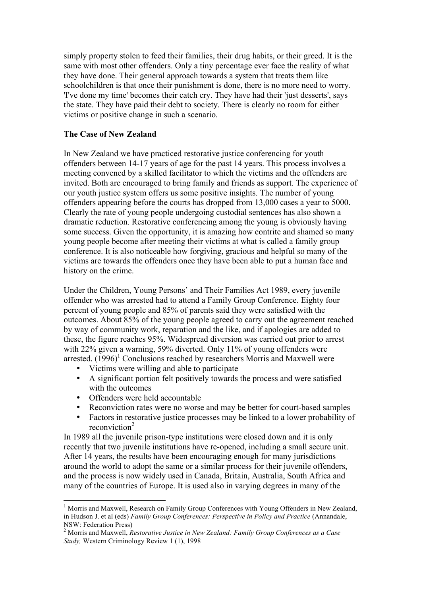simply property stolen to feed their families, their drug habits, or their greed. It is the same with most other offenders. Only a tiny percentage ever face the reality of what they have done. Their general approach towards a system that treats them like schoolchildren is that once their punishment is done, there is no more need to worry. 'I've done my time' becomes their catch cry. They have had their 'just desserts', says the state. They have paid their debt to society. There is clearly no room for either victims or positive change in such a scenario.

#### **The Case of New Zealand**

In New Zealand we have practiced restorative justice conferencing for youth offenders between 14-17 years of age for the past 14 years. This process involves a meeting convened by a skilled facilitator to which the victims and the offenders are invited. Both are encouraged to bring family and friends as support. The experience of our youth justice system offers us some positive insights. The number of young offenders appearing before the courts has dropped from 13,000 cases a year to 5000. Clearly the rate of young people undergoing custodial sentences has also shown a dramatic reduction. Restorative conferencing among the young is obviously having some success. Given the opportunity, it is amazing how contrite and shamed so many young people become after meeting their victims at what is called a family group conference. It is also noticeable how forgiving, gracious and helpful so many of the victims are towards the offenders once they have been able to put a human face and history on the crime.

Under the Children, Young Persons' and Their Families Act 1989, every juvenile offender who was arrested had to attend a Family Group Conference. Eighty four percent of young people and 85% of parents said they were satisfied with the outcomes. About 85% of the young people agreed to carry out the agreement reached by way of community work, reparation and the like, and if apologies are added to these, the figure reaches 95%. Widespread diversion was carried out prior to arrest with 22% given a warning, 59% diverted. Only 11% of young offenders were arrested.  $(1996)^1$  Conclusions reached by researchers Morris and Maxwell were

- Victims were willing and able to participate
- A significant portion felt positively towards the process and were satisfied with the outcomes
- Offenders were held accountable
- Reconviction rates were no worse and may be better for court-based samples<br>• Factors in restorative justice processes may be linked to a lower probability of
- Factors in restorative justice processes may be linked to a lower probability of reconviction<sup>2</sup>

In 1989 all the juvenile prison-type institutions were closed down and it is only recently that two juvenile institutions have re-opened, including a small secure unit. After 14 years, the results have been encouraging enough for many jurisdictions around the world to adopt the same or a similar process for their juvenile offenders, and the process is now widely used in Canada, Britain, Australia, South Africa and many of the countries of Europe. It is used also in varying degrees in many of the

 $\frac{1}{1}$ <sup>1</sup> Morris and Maxwell, Research on Family Group Conferences with Young Offenders in New Zealand, in Hudson J. et al (eds) *Family Group Conferences: Perspective in Policy and Practice* (Annandale, NSW: Federation Press)<br><sup>2</sup> Morris and Maxwell, *Restorative Justice in New Zealand: Family Group Conferences as a Case* 

*Study,* Western Criminology Review 1 (1), 1998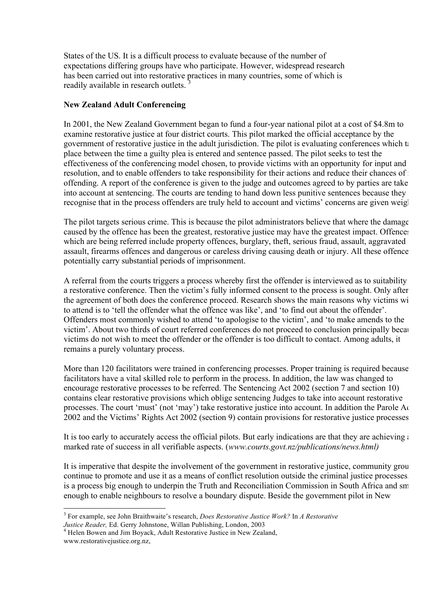States of the US. It is a difficult process to evaluate because of the number of expectations differing groups have who participate. However, widespread research has been carried out into restorative practices in many countries, some of which is readily available in research outlets. <sup>3</sup>

# **New Zealand Adult Conferencing**

In 2001, the New Zealand Government began to fund a four-year national pilot at a cost of \$4.8m to examine restorative justice at four district courts. This pilot marked the official acceptance by the government of restorative justice in the adult jurisdiction. The pilot is evaluating conferences which take place between the time a guilty plea is entered and sentence passed. The pilot seeks to test the effectiveness of the conferencing model chosen, to provide victims with an opportunity for input and resolution, and to enable offenders to take responsibility for their actions and reduce their chances of reoffending. A report of the conference is given to the judge and outcomes agreed to by parties are taken into account at sentencing. The courts are tending to hand down less punitive sentences because they recognise that in the process offenders are truly held to account and victims' concerns are given weight

The pilot targets serious crime. This is because the pilot administrators believe that where the damage caused by the offence has been the greatest, restorative justice may have the greatest impact. Offences which are being referred include property offences, burglary, theft, serious fraud, assault, aggravated assault, firearms offences and dangerous or careless driving causing death or injury. All these offence potentially carry substantial periods of imprisonment.

A referral from the courts triggers a process whereby first the offender is interviewed as to suitability a restorative conference. Then the victim's fully informed consent to the process is sought. Only after the agreement of both does the conference proceed. Research shows the main reasons why victims wi to attend is to 'tell the offender what the offence was like', and 'to find out about the offender'. Offenders most commonly wished to attend 'to apologise to the victim', and 'to make amends to the victim'. About two thirds of court referred conferences do not proceed to conclusion principally because victims do not wish to meet the offender or the offender is too difficult to contact. Among adults, it remains a purely voluntary process.

More than 120 facilitators were trained in conferencing processes. Proper training is required because facilitators have a vital skilled role to perform in the process. In addition, the law was changed to encourage restorative processes to be referred. The Sentencing Act 2002 (section 7 and section 10) contains clear restorative provisions which oblige sentencing Judges to take into account restorative processes. The court 'must' (not 'may') take restorative justice into account. In addition the Parole Act 2002 and the Victims' Rights Act 2002 (section 9) contain provisions for restorative justice processes.

It is too early to accurately access the official pilots. But early indications are that they are achieving a marked rate of success in all verifiable aspects. (*www.courts.govt.nz/publications/news.html)*

It is imperative that despite the involvement of the government in restorative justice, community group continue to promote and use it as a means of conflict resolution outside the criminal justice processes. is a process big enough to underpin the Truth and Reconciliation Commission in South Africa and sm enough to enable neighbours to resolve a boundary dispute. Beside the government pilot in New

<sup>&</sup>lt;sup>2</sup><br>3 For example, see John Braithwaite's research, *Does Restorative Justice Work?* In *A Restorative Justice Reader,* Ed. Gerry Johnstone, Willan Publishing, London, 2003 <sup>4</sup>

<sup>&</sup>lt;sup>4</sup> Helen Bowen and Jim Boyack, Adult Restorative Justice in New Zealand,

www.restorativejustice.org.nz,